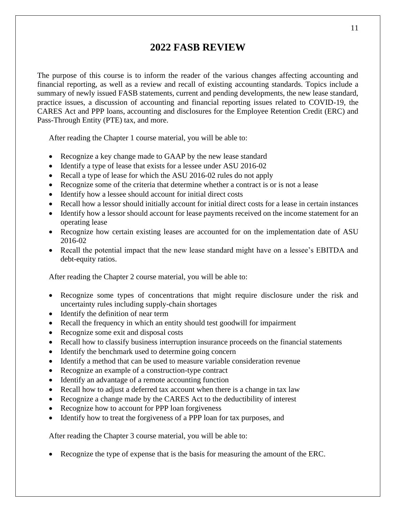## **2022 FASB REVIEW**

The purpose of this course is to inform the reader of the various changes affecting accounting and financial reporting, as well as a review and recall of existing accounting standards. Topics include a summary of newly issued FASB statements, current and pending developments, the new lease standard, practice issues, a discussion of accounting and financial reporting issues related to COVID-19, the CARES Act and PPP loans, accounting and disclosures for the Employee Retention Credit (ERC) and Pass-Through Entity (PTE) tax, and more.

After reading the Chapter 1 course material, you will be able to:

- Recognize a key change made to GAAP by the new lease standard
- Identify a type of lease that exists for a lessee under ASU 2016-02
- Recall a type of lease for which the ASU 2016-02 rules do not apply
- Recognize some of the criteria that determine whether a contract is or is not a lease
- Identify how a lessee should account for initial direct costs
- Recall how a lessor should initially account for initial direct costs for a lease in certain instances
- Identify how a lessor should account for lease payments received on the income statement for an operating lease
- Recognize how certain existing leases are accounted for on the implementation date of ASU 2016-02
- Recall the potential impact that the new lease standard might have on a lessee's EBITDA and debt-equity ratios.

After reading the Chapter 2 course material, you will be able to:

- Recognize some types of concentrations that might require disclosure under the risk and uncertainty rules including supply-chain shortages
- Identify the definition of near term
- Recall the frequency in which an entity should test goodwill for impairment
- Recognize some exit and disposal costs
- Recall how to classify business interruption insurance proceeds on the financial statements
- Identify the benchmark used to determine going concern
- Identify a method that can be used to measure variable consideration revenue
- Recognize an example of a construction-type contract
- Identify an advantage of a remote accounting function
- Recall how to adjust a deferred tax account when there is a change in tax law
- Recognize a change made by the CARES Act to the deductibility of interest
- Recognize how to account for PPP loan forgiveness
- Identify how to treat the forgiveness of a PPP loan for tax purposes, and

After reading the Chapter 3 course material, you will be able to:

• Recognize the type of expense that is the basis for measuring the amount of the ERC.